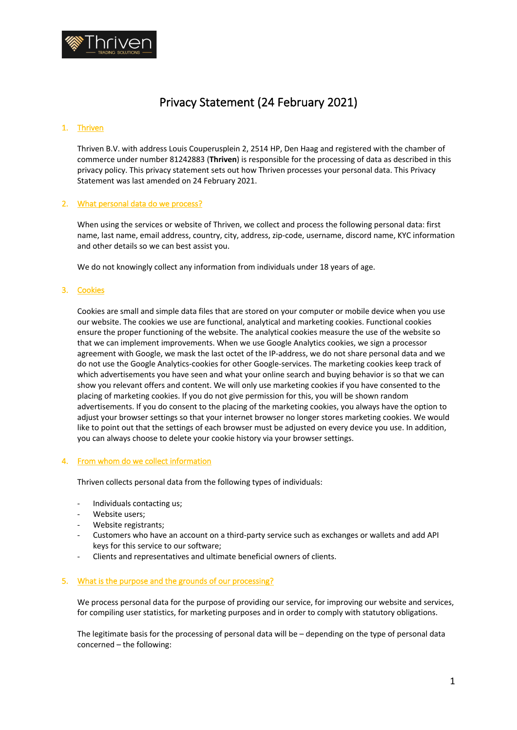

# Privacy Statement (24 February 2021)

## 1. Thriven

Thriven B.V. with address Louis Couperusplein 2, 2514 HP, Den Haag and registered with the chamber of commerce under number 81242883 (**Thriven**) is responsible for the processing of data as described in this privacy policy. This privacy statement sets out how Thriven processes your personal data. This Privacy Statement was last amended on 24 February 2021.

### 2. What personal data do we process?

When using the services or website of Thriven, we collect and process the following personal data: first name, last name, email address, country, city, address, zip-code, username, discord name, KYC information and other details so we can best assist you.

We do not knowingly collect any information from individuals under 18 years of age.

#### 3. Cookies

Cookies are small and simple data files that are stored on your computer or mobile device when you use our website. The cookies we use are functional, analytical and marketing cookies. Functional cookies ensure the proper functioning of the website. The analytical cookies measure the use of the website so that we can implement improvements. When we use Google Analytics cookies, we sign a processor agreement with Google, we mask the last octet of the IP-address, we do not share personal data and we do not use the Google Analytics-cookies for other Google-services. The marketing cookies keep track of which advertisements you have seen and what your online search and buying behavior is so that we can show you relevant offers and content. We will only use marketing cookies if you have consented to the placing of marketing cookies. If you do not give permission for this, you will be shown random advertisements. If you do consent to the placing of the marketing cookies, you always have the option to adjust your browser settings so that your internet browser no longer stores marketing cookies. We would like to point out that the settings of each browser must be adjusted on every device you use. In addition, you can always choose to delete your cookie history via your browser settings.

#### 4. From whom do we collect information

Thriven collects personal data from the following types of individuals:

- Individuals contacting us;
- Website users:
- Website registrants;
- Customers who have an account on a third-party service such as exchanges or wallets and add API keys for this service to our software;
- Clients and representatives and ultimate beneficial owners of clients.

#### 5. What is the purpose and the grounds of our processing?

We process personal data for the purpose of providing our service, for improving our website and services, for compiling user statistics, for marketing purposes and in order to comply with statutory obligations.

The legitimate basis for the processing of personal data will be – depending on the type of personal data concerned – the following: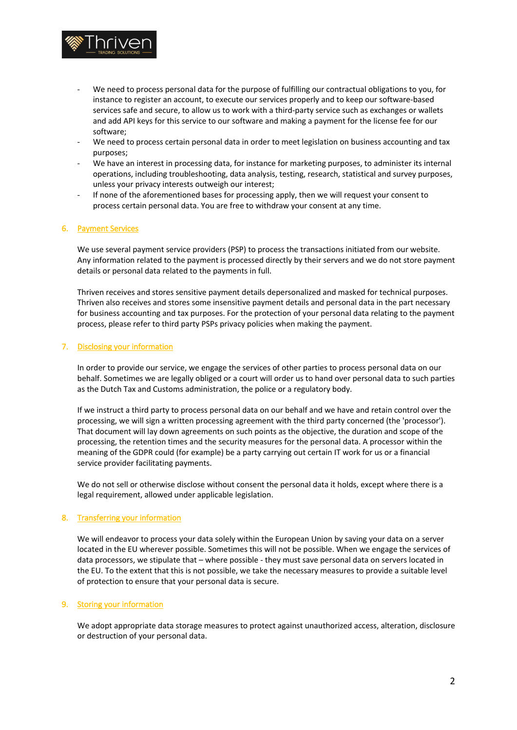

- We need to process personal data for the purpose of fulfilling our contractual obligations to you, for instance to register an account, to execute our services properly and to keep our software-based services safe and secure, to allow us to work with a third-party service such as exchanges or wallets and add API keys for this service to our software and making a payment for the license fee for our software;
- We need to process certain personal data in order to meet legislation on business accounting and tax purposes;
- We have an interest in processing data, for instance for marketing purposes, to administer its internal operations, including troubleshooting, data analysis, testing, research, statistical and survey purposes, unless your privacy interests outweigh our interest;
- If none of the aforementioned bases for processing apply, then we will request your consent to process certain personal data. You are free to withdraw your consent at any time.

### 6. Payment Services

We use several payment service providers (PSP) to process the transactions initiated from our website. Any information related to the payment is processed directly by their servers and we do not store payment details or personal data related to the payments in full.

Thriven receives and stores sensitive payment details depersonalized and masked for technical purposes. Thriven also receives and stores some insensitive payment details and personal data in the part necessary for business accounting and tax purposes. For the protection of your personal data relating to the payment process, please refer to third party PSPs privacy policies when making the payment.

### 7. Disclosing your information

In order to provide our service, we engage the services of other parties to process personal data on our behalf. Sometimes we are legally obliged or a court will order us to hand over personal data to such parties as the Dutch Tax and Customs administration, the police or a regulatory body.

If we instruct a third party to process personal data on our behalf and we have and retain control over the processing, we will sign a written processing agreement with the third party concerned (the 'processor'). That document will lay down agreements on such points as the objective, the duration and scope of the processing, the retention times and the security measures for the personal data. A processor within the meaning of the GDPR could (for example) be a party carrying out certain IT work for us or a financial service provider facilitating payments.

We do not sell or otherwise disclose without consent the personal data it holds, except where there is a legal requirement, allowed under applicable legislation.

### 8. Transferring your information

We will endeavor to process your data solely within the European Union by saving your data on a server located in the EU wherever possible. Sometimes this will not be possible. When we engage the services of data processors, we stipulate that – where possible - they must save personal data on servers located in the EU. To the extent that this is not possible, we take the necessary measures to provide a suitable level of protection to ensure that your personal data is secure.

### 9. Storing your information

We adopt appropriate data storage measures to protect against unauthorized access, alteration, disclosure or destruction of your personal data.